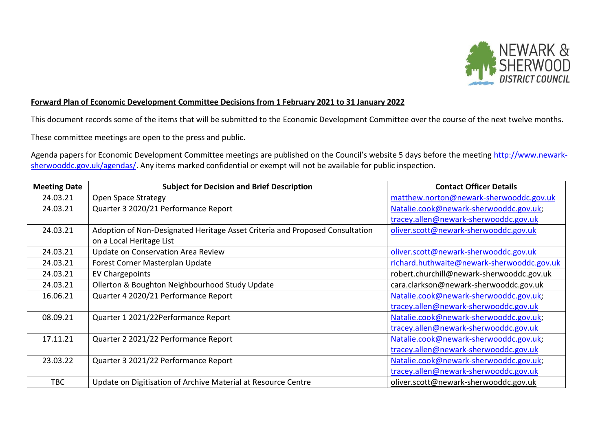

## **Forward Plan of Economic Development Committee Decisions from 1 February 2021 to 31 January 2022**

This document records some of the items that will be submitted to the Economic Development Committee over the course of the next twelve months.

These committee meetings are open to the press and public.

Agenda papers for Economic Development Committee meetings are published on the Council's website 5 days before the meeting [http://www.newark](http://www.newark-sherwooddc.gov.uk/agendas/)[sherwooddc.gov.uk/agendas/.](http://www.newark-sherwooddc.gov.uk/agendas/) Any items marked confidential or exempt will not be available for public inspection.

| <b>Meeting Date</b> | <b>Subject for Decision and Brief Description</b>                            | <b>Contact Officer Details</b>             |
|---------------------|------------------------------------------------------------------------------|--------------------------------------------|
| 24.03.21            | Open Space Strategy                                                          | matthew.norton@newark-sherwooddc.gov.uk    |
| 24.03.21            | Quarter 3 2020/21 Performance Report                                         | Natalie.cook@newark-sherwooddc.gov.uk;     |
|                     |                                                                              | tracey.allen@newark-sherwooddc.gov.uk      |
| 24.03.21            | Adoption of Non-Designated Heritage Asset Criteria and Proposed Consultation | oliver.scott@newark-sherwooddc.gov.uk      |
|                     | on a Local Heritage List                                                     |                                            |
| 24.03.21            | Update on Conservation Area Review                                           | oliver.scott@newark-sherwooddc.gov.uk      |
| 24.03.21            | Forest Corner Masterplan Update                                              | richard.huthwaite@newark-sherwooddc.gov.uk |
| 24.03.21            | EV Chargepoints                                                              | robert.churchill@newark-sherwooddc.gov.uk  |
| 24.03.21            | Ollerton & Boughton Neighbourhood Study Update                               | cara.clarkson@newark-sherwooddc.gov.uk     |
| 16.06.21            | Quarter 4 2020/21 Performance Report                                         | Natalie.cook@newark-sherwooddc.gov.uk;     |
|                     |                                                                              | tracey.allen@newark-sherwooddc.gov.uk      |
| 08.09.21            | Quarter 1 2021/22Performance Report                                          | Natalie.cook@newark-sherwooddc.gov.uk;     |
|                     |                                                                              | tracey.allen@newark-sherwooddc.gov.uk      |
| 17.11.21            | Quarter 2 2021/22 Performance Report                                         | Natalie.cook@newark-sherwooddc.gov.uk;     |
|                     |                                                                              | tracey.allen@newark-sherwooddc.gov.uk      |
| 23.03.22            | Quarter 3 2021/22 Performance Report                                         | Natalie.cook@newark-sherwooddc.gov.uk;     |
|                     |                                                                              | tracey.allen@newark-sherwooddc.gov.uk      |
| <b>TBC</b>          | Update on Digitisation of Archive Material at Resource Centre                | oliver.scott@newark-sherwooddc.gov.uk      |